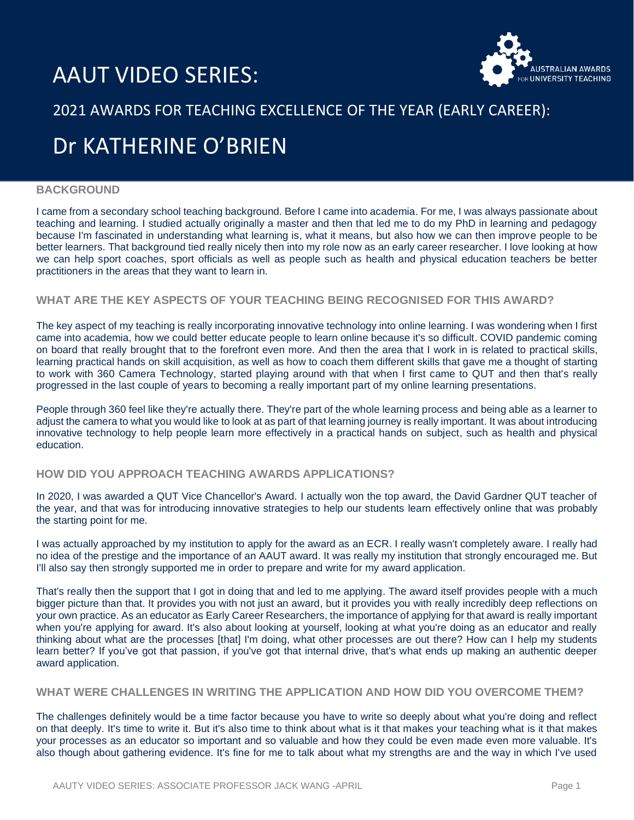# AAUT VIDEO SERIES:



### 2021 AWARDS FOR TEACHING EXCELLENCE OF THE YEAR (EARLY CAREER):

## Dr KATHERINE O'BRIEN

#### **BACKGROUND**

I came from a secondary school teaching background. Before I came into academia. For me, I was always passionate about teaching and learning. I studied actually originally a master and then that led me to do my PhD in learning and pedagogy because I'm fascinated in understanding what learning is, what it means, but also how we can then improve people to be better learners. That background tied really nicely then into my role now as an early career researcher. I love looking at how we can help sport coaches, sport officials as well as people such as health and physical education teachers be better practitioners in the areas that they want to learn in.

#### **WHAT ARE THE KEY ASPECTS OF YOUR TEACHING BEING RECOGNISED FOR THIS AWARD?**

The key aspect of my teaching is really incorporating innovative technology into online learning. I was wondering when I first came into academia, how we could better educate people to learn online because it's so difficult. COVID pandemic coming on board that really brought that to the forefront even more. And then the area that I work in is related to practical skills, learning practical hands on skill acquisition, as well as how to coach them different skills that gave me a thought of starting to work with 360 Camera Technology, started playing around with that when I first came to QUT and then that's really progressed in the last couple of years to becoming a really important part of my online learning presentations.

People through 360 feel like they're actually there. They're part of the whole learning process and being able as a learner to adjust the camera to what you would like to look at as part of that learning journey is really important. It was about introducing innovative technology to help people learn more effectively in a practical hands on subject, such as health and physical education.

#### **HOW DID YOU APPROACH TEACHING AWARDS APPLICATIONS?**

In 2020, I was awarded a QUT Vice Chancellor's Award. I actually won the top award, the David Gardner QUT teacher of the year, and that was for introducing innovative strategies to help our students learn effectively online that was probably the starting point for me.

I was actually approached by my institution to apply for the award as an ECR. I really wasn't completely aware. I really had no idea of the prestige and the importance of an AAUT award. It was really my institution that strongly encouraged me. But I'll also say then strongly supported me in order to prepare and write for my award application.

That's really then the support that I got in doing that and led to me applying. The award itself provides people with a much bigger picture than that. It provides you with not just an award, but it provides you with really incredibly deep reflections on your own practice. As an educator as Early Career Researchers, the importance of applying for that award is really important when you're applying for award. It's also about looking at yourself, looking at what you're doing as an educator and really thinking about what are the processes [that] I'm doing, what other processes are out there? How can I help my students learn better? If you've got that passion, if you've got that internal drive, that's what ends up making an authentic deeper award application.

#### **WHAT WERE CHALLENGES IN WRITING THE APPLICATION AND HOW DID YOU OVERCOME THEM?**

The challenges definitely would be a time factor because you have to write so deeply about what you're doing and reflect on that deeply. It's time to write it. But it's also time to think about what is it that makes your teaching what is it that makes your processes as an educator so important and so valuable and how they could be even made even more valuable. It's also though about gathering evidence. It's fine for me to talk about what my strengths are and the way in which I've used